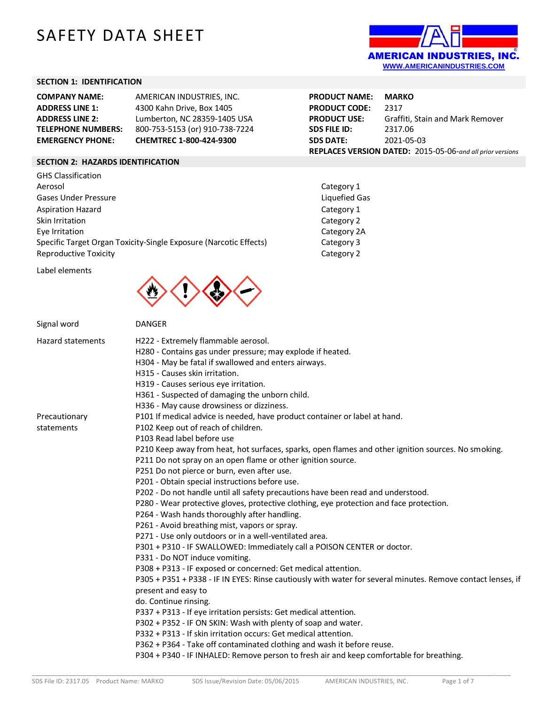# SAFETY DATA SHEET



**PRODUCT USE:** Graffiti, Stain and Mark Remover

**REPLACES VERSION DATED:** 2015-05-06-*and all prior versions*

**PRODUCT NAME: MARKO PRODUCT CODE: 2317<br><b>PRODUCT USE:** Graff

**SDS FILE ID:** 2317.06 **SDS DATE:** 2021-05-03

> Category 1 Liquefied Gas Category 1 Category 2 Category 2A Category 3 Category 2

# **SECTION 1: IDENTIFICATION**

| <b>COMPANY NAME:</b>      | AMERICAN INDUSTRIES. INC.      |
|---------------------------|--------------------------------|
| <b>ADDRESS LINE 1:</b>    | 4300 Kahn Drive, Box 1405      |
| <b>ADDRESS LINE 2:</b>    | Lumberton, NC 28359-1405 USA   |
| <b>TELEPHONE NUMBERS:</b> | 800-753-5153 (or) 910-738-7224 |
| <b>EMERGENCY PHONE:</b>   | CHEMTREC 1-800-424-9300        |

# **SECTION 2: HAZARDS IDENTIFICATION**

| <b>GHS Classification</b>                                         |
|-------------------------------------------------------------------|
| Aerosol                                                           |
| Gases Under Pressure                                              |
| <b>Aspiration Hazard</b>                                          |
| Skin Irritation                                                   |
| Eye Irritation                                                    |
| Specific Target Organ Toxicity-Single Exposure (Narcotic Effects) |
| Reproductive Toxicity                                             |

Label elements



| Signal word              | <b>DANGER</b>                                                                                               |
|--------------------------|-------------------------------------------------------------------------------------------------------------|
| <b>Hazard statements</b> | H222 - Extremely flammable aerosol.                                                                         |
|                          | H280 - Contains gas under pressure; may explode if heated.                                                  |
|                          | H304 - May be fatal if swallowed and enters airways.                                                        |
|                          | H315 - Causes skin irritation.                                                                              |
|                          | H319 - Causes serious eye irritation.                                                                       |
|                          | H361 - Suspected of damaging the unborn child.                                                              |
|                          | H336 - May cause drowsiness or dizziness.                                                                   |
| Precautionary            | P101 If medical advice is needed, have product container or label at hand.                                  |
| statements               | P102 Keep out of reach of children.                                                                         |
|                          | P103 Read label before use                                                                                  |
|                          | P210 Keep away from heat, hot surfaces, sparks, open flames and other ignition sources. No smoking.         |
|                          | P211 Do not spray on an open flame or other ignition source.                                                |
|                          | P251 Do not pierce or burn, even after use.                                                                 |
|                          | P201 - Obtain special instructions before use.                                                              |
|                          | P202 - Do not handle until all safety precautions have been read and understood.                            |
|                          | P280 - Wear protective gloves, protective clothing, eye protection and face protection.                     |
|                          | P264 - Wash hands thoroughly after handling.                                                                |
|                          | P261 - Avoid breathing mist, vapors or spray.                                                               |
|                          | P271 - Use only outdoors or in a well-ventilated area.                                                      |
|                          | P301 + P310 - IF SWALLOWED: Immediately call a POISON CENTER or doctor.                                     |
|                          | P331 - Do NOT induce vomiting.                                                                              |
|                          | P308 + P313 - IF exposed or concerned: Get medical attention.                                               |
|                          | P305 + P351 + P338 - IF IN EYES: Rinse cautiously with water for several minutes. Remove contact lenses, if |
|                          | present and easy to                                                                                         |
|                          | do. Continue rinsing.                                                                                       |
|                          | P337 + P313 - If eye irritation persists: Get medical attention.                                            |
|                          | P302 + P352 - IF ON SKIN: Wash with plenty of soap and water.                                               |
|                          | P332 + P313 - If skin irritation occurs: Get medical attention.                                             |
|                          | P362 + P364 - Take off contaminated clothing and wash it before reuse.                                      |
|                          | P304 + P340 - IF INHALED: Remove person to fresh air and keep comfortable for breathing.                    |
|                          |                                                                                                             |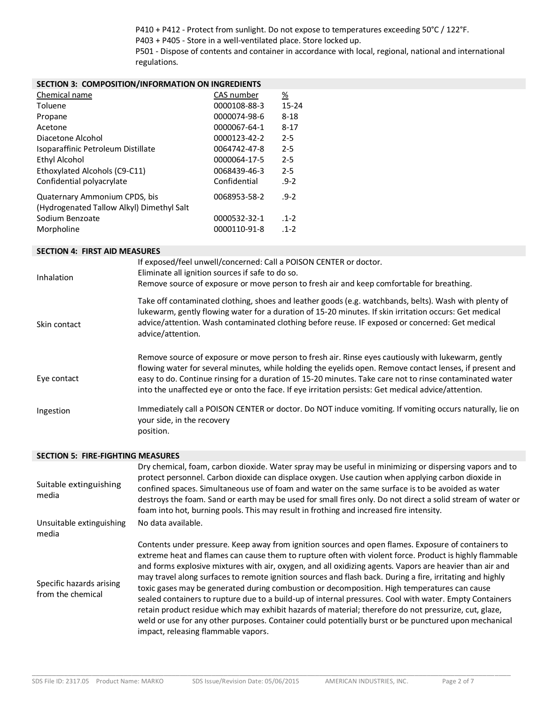P410 + P412 - Protect from sunlight. Do not expose to temperatures exceeding 50°C / 122°F.

P403 + P405 - Store in a well-ventilated place. Store locked up.

P501 - Dispose of contents and container in accordance with local, regional, national and international regulations.

| <b>SECTION 3: COMPOSITION/INFORMATION ON INGREDIENTS</b>                   |              |           |
|----------------------------------------------------------------------------|--------------|-----------|
| Chemical name                                                              | CAS number   | <u>%</u>  |
| Toluene                                                                    | 0000108-88-3 | $15 - 24$ |
| Propane                                                                    | 0000074-98-6 | 8-18      |
| Acetone                                                                    | 0000067-64-1 | $8 - 17$  |
| Diacetone Alcohol                                                          | 0000123-42-2 | $2 - 5$   |
| Isoparaffinic Petroleum Distillate                                         | 0064742-47-8 | $2 - 5$   |
| Ethyl Alcohol                                                              | 0000064-17-5 | $2 - 5$   |
| Ethoxylated Alcohols (C9-C11)                                              | 0068439-46-3 | $2 - 5$   |
| Confidential polyacrylate                                                  | Confidential | $.9 - 2$  |
| Quaternary Ammonium CPDS, bis<br>(Hydrogenated Tallow Alkyl) Dimethyl Salt | 0068953-58-2 | $-9-2$    |
| Sodium Benzoate                                                            | 0000532-32-1 | $-1 - 2$  |
| Morpholine                                                                 | 0000110-91-8 | $-1 - 2$  |

#### **SECTION 4: FIRST AID MEASURES**

| <b>Inhalation</b> | If exposed/feel unwell/concerned: Call a POISON CENTER or doctor.<br>Eliminate all ignition sources if safe to do so.<br>Remove source of exposure or move person to fresh air and keep comfortable for breathing.                                                                                                                                                                                                               |
|-------------------|----------------------------------------------------------------------------------------------------------------------------------------------------------------------------------------------------------------------------------------------------------------------------------------------------------------------------------------------------------------------------------------------------------------------------------|
| Skin contact      | Take off contaminated clothing, shoes and leather goods (e.g. watchbands, belts). Wash with plenty of<br>lukewarm, gently flowing water for a duration of 15-20 minutes. If skin irritation occurs: Get medical<br>advice/attention. Wash contaminated clothing before reuse. IF exposed or concerned: Get medical<br>advice/attention.                                                                                          |
| Eye contact       | Remove source of exposure or move person to fresh air. Rinse eyes cautiously with lukewarm, gently<br>flowing water for several minutes, while holding the eyelids open. Remove contact lenses, if present and<br>easy to do. Continue rinsing for a duration of 15-20 minutes. Take care not to rinse contaminated water<br>into the unaffected eye or onto the face. If eye irritation persists: Get medical advice/attention. |
| Ingestion         | Immediately call a POISON CENTER or doctor. Do NOT induce vomiting. If vomiting occurs naturally, lie on<br>your side, in the recovery<br>position.                                                                                                                                                                                                                                                                              |

### **SECTION 5: FIRE-FIGHTING MEASURES**

| Suitable extinguishing<br>media               | Dry chemical, foam, carbon dioxide. Water spray may be useful in minimizing or dispersing vapors and to<br>protect personnel. Carbon dioxide can displace oxygen. Use caution when applying carbon dioxide in<br>confined spaces. Simultaneous use of foam and water on the same surface is to be avoided as water<br>destroys the foam. Sand or earth may be used for small fires only. Do not direct a solid stream of water or<br>foam into hot, burning pools. This may result in frothing and increased fire intensity.                                                                                                                                                                                                                                                                                                                                                                                 |
|-----------------------------------------------|--------------------------------------------------------------------------------------------------------------------------------------------------------------------------------------------------------------------------------------------------------------------------------------------------------------------------------------------------------------------------------------------------------------------------------------------------------------------------------------------------------------------------------------------------------------------------------------------------------------------------------------------------------------------------------------------------------------------------------------------------------------------------------------------------------------------------------------------------------------------------------------------------------------|
| Unsuitable extinguishing<br>media             | No data available.                                                                                                                                                                                                                                                                                                                                                                                                                                                                                                                                                                                                                                                                                                                                                                                                                                                                                           |
| Specific hazards arising<br>from the chemical | Contents under pressure. Keep away from ignition sources and open flames. Exposure of containers to<br>extreme heat and flames can cause them to rupture often with violent force. Product is highly flammable<br>and forms explosive mixtures with air, oxygen, and all oxidizing agents. Vapors are heavier than air and<br>may travel along surfaces to remote ignition sources and flash back. During a fire, irritating and highly<br>toxic gases may be generated during combustion or decomposition. High temperatures can cause<br>sealed containers to rupture due to a build-up of internal pressures. Cool with water. Empty Containers<br>retain product residue which may exhibit hazards of material; therefore do not pressurize, cut, glaze,<br>weld or use for any other purposes. Container could potentially burst or be punctured upon mechanical<br>impact, releasing flammable vapors. |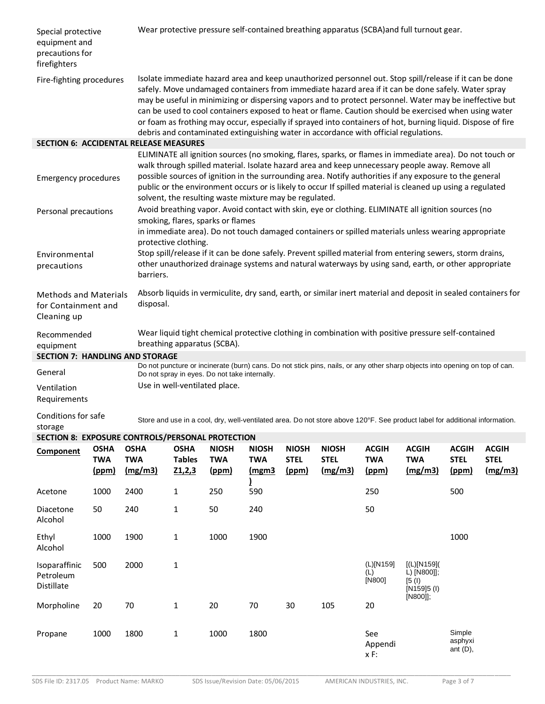| Special protective<br>equipment and<br>precautions for<br>firefighters |                                    |                                      | Wear protective pressure self-contained breathing apparatus (SCBA) and full turnout gear.                                                                                                                                                                                                                                                                                                                                                                                                                                                                                                                                                 |                                                        |                                            |                                      |                                        |                                     |                                                                                                                                                                                                                                                                                                                                                                                                                                       |                                      |                                        |
|------------------------------------------------------------------------|------------------------------------|--------------------------------------|-------------------------------------------------------------------------------------------------------------------------------------------------------------------------------------------------------------------------------------------------------------------------------------------------------------------------------------------------------------------------------------------------------------------------------------------------------------------------------------------------------------------------------------------------------------------------------------------------------------------------------------------|--------------------------------------------------------|--------------------------------------------|--------------------------------------|----------------------------------------|-------------------------------------|---------------------------------------------------------------------------------------------------------------------------------------------------------------------------------------------------------------------------------------------------------------------------------------------------------------------------------------------------------------------------------------------------------------------------------------|--------------------------------------|----------------------------------------|
| Fire-fighting procedures                                               |                                    |                                      | Isolate immediate hazard area and keep unauthorized personnel out. Stop spill/release if it can be done<br>safely. Move undamaged containers from immediate hazard area if it can be done safely. Water spray<br>may be useful in minimizing or dispersing vapors and to protect personnel. Water may be ineffective but<br>can be used to cool containers exposed to heat or flame. Caution should be exercised when using water<br>or foam as frothing may occur, especially if sprayed into containers of hot, burning liquid. Dispose of fire<br>debris and contaminated extinguishing water in accordance with official regulations. |                                                        |                                            |                                      |                                        |                                     |                                                                                                                                                                                                                                                                                                                                                                                                                                       |                                      |                                        |
| <b>SECTION 6: ACCIDENTAL RELEASE MEASURES</b>                          |                                    |                                      |                                                                                                                                                                                                                                                                                                                                                                                                                                                                                                                                                                                                                                           |                                                        |                                            |                                      |                                        |                                     |                                                                                                                                                                                                                                                                                                                                                                                                                                       |                                      |                                        |
| <b>Emergency procedures</b>                                            |                                    |                                      |                                                                                                                                                                                                                                                                                                                                                                                                                                                                                                                                                                                                                                           | solvent, the resulting waste mixture may be regulated. |                                            |                                      |                                        |                                     | ELIMINATE all ignition sources (no smoking, flares, sparks, or flames in immediate area). Do not touch or<br>walk through spilled material. Isolate hazard area and keep unnecessary people away. Remove all<br>possible sources of ignition in the surrounding area. Notify authorities if any exposure to the general<br>public or the environment occurs or is likely to occur If spilled material is cleaned up using a regulated |                                      |                                        |
| Personal precautions                                                   |                                    |                                      |                                                                                                                                                                                                                                                                                                                                                                                                                                                                                                                                                                                                                                           | smoking, flares, sparks or flames                      |                                            |                                      |                                        |                                     | Avoid breathing vapor. Avoid contact with skin, eye or clothing. ELIMINATE all ignition sources (no                                                                                                                                                                                                                                                                                                                                   |                                      |                                        |
| Environmental<br>precautions                                           |                                    | barriers.                            | protective clothing.                                                                                                                                                                                                                                                                                                                                                                                                                                                                                                                                                                                                                      |                                                        |                                            |                                      |                                        |                                     | in immediate area). Do not touch damaged containers or spilled materials unless wearing appropriate<br>Stop spill/release if it can be done safely. Prevent spilled material from entering sewers, storm drains,<br>other unauthorized drainage systems and natural waterways by using sand, earth, or other appropriate                                                                                                              |                                      |                                        |
| <b>Methods and Materials</b><br>for Containment and<br>Cleaning up     |                                    | disposal.                            |                                                                                                                                                                                                                                                                                                                                                                                                                                                                                                                                                                                                                                           |                                                        |                                            |                                      |                                        |                                     | Absorb liquids in vermiculite, dry sand, earth, or similar inert material and deposit in sealed containers for                                                                                                                                                                                                                                                                                                                        |                                      |                                        |
| Recommended<br>equipment<br><b>SECTION 7: HANDLING AND STORAGE</b>     |                                    |                                      | Wear liquid tight chemical protective clothing in combination with positive pressure self-contained<br>breathing apparatus (SCBA).                                                                                                                                                                                                                                                                                                                                                                                                                                                                                                        |                                                        |                                            |                                      |                                        |                                     |                                                                                                                                                                                                                                                                                                                                                                                                                                       |                                      |                                        |
| General                                                                |                                    |                                      |                                                                                                                                                                                                                                                                                                                                                                                                                                                                                                                                                                                                                                           |                                                        |                                            |                                      |                                        |                                     | Do not puncture or incinerate (burn) cans. Do not stick pins, nails, or any other sharp objects into opening on top of can.                                                                                                                                                                                                                                                                                                           |                                      |                                        |
| Ventilation<br>Requirements                                            |                                    |                                      | Do not spray in eyes. Do not take internally.<br>Use in well-ventilated place.                                                                                                                                                                                                                                                                                                                                                                                                                                                                                                                                                            |                                                        |                                            |                                      |                                        |                                     |                                                                                                                                                                                                                                                                                                                                                                                                                                       |                                      |                                        |
| Conditions for safe<br>storage                                         |                                    |                                      |                                                                                                                                                                                                                                                                                                                                                                                                                                                                                                                                                                                                                                           |                                                        |                                            |                                      |                                        |                                     | Store and use in a cool, dry, well-ventilated area. Do not store above 120°F. See product label for additional information.                                                                                                                                                                                                                                                                                                           |                                      |                                        |
| SECTION 8: EXPOSURE CONTROLS/PERSONAL PROTECTION                       |                                    |                                      |                                                                                                                                                                                                                                                                                                                                                                                                                                                                                                                                                                                                                                           |                                                        |                                            |                                      |                                        |                                     |                                                                                                                                                                                                                                                                                                                                                                                                                                       |                                      |                                        |
| Component                                                              | <b>OSHA</b><br><b>TWA</b><br>(ppm) | <b>OSHA</b><br><b>TWA</b><br>(mg/m3) | <b>OSHA</b><br><b>Tables</b><br>Z1,2,3                                                                                                                                                                                                                                                                                                                                                                                                                                                                                                                                                                                                    | <b>NIOSH</b><br><b>TWA</b><br>(ppm)                    | <b>NIOSH</b><br><b>TWA</b><br><u>(mgm3</u> | <b>NIOSH</b><br><b>STEL</b><br>(ppm) | <b>NIOSH</b><br><b>STEL</b><br>(mg/m3) | <b>ACGIH</b><br><b>TWA</b><br>(ppm) | <b>ACGIH</b><br><b>TWA</b><br>(mg/m3)                                                                                                                                                                                                                                                                                                                                                                                                 | <b>ACGIH</b><br><b>STEL</b><br>(ppm) | <b>ACGIH</b><br><b>STEL</b><br>(mg/m3) |
| Acetone                                                                | 1000                               | 2400                                 | $\mathbf{1}$                                                                                                                                                                                                                                                                                                                                                                                                                                                                                                                                                                                                                              | 250                                                    | 590                                        |                                      |                                        | 250                                 |                                                                                                                                                                                                                                                                                                                                                                                                                                       | 500                                  |                                        |
| Diacetone<br>Alcohol                                                   | 50                                 | 240                                  | $\mathbf 1$                                                                                                                                                                                                                                                                                                                                                                                                                                                                                                                                                                                                                               | 50                                                     | 240                                        |                                      |                                        | 50                                  |                                                                                                                                                                                                                                                                                                                                                                                                                                       |                                      |                                        |
| Ethyl<br>Alcohol                                                       | 1000                               | 1900                                 | $\mathbf 1$                                                                                                                                                                                                                                                                                                                                                                                                                                                                                                                                                                                                                               | 1000                                                   | 1900                                       |                                      |                                        |                                     |                                                                                                                                                                                                                                                                                                                                                                                                                                       | 1000                                 |                                        |
| Isoparaffinic<br>Petroleum<br>Distillate                               | 500                                | 2000                                 | $\mathbf{1}$                                                                                                                                                                                                                                                                                                                                                                                                                                                                                                                                                                                                                              |                                                        |                                            |                                      |                                        | (L)[N159]<br>(L)<br>[N800]          | [(L)[N159]<br>L) [N800]];<br>[5 (l)]<br>[N159]5 (I)<br>[N800]];                                                                                                                                                                                                                                                                                                                                                                       |                                      |                                        |
| Morpholine                                                             | 20                                 | 70                                   | $\mathbf{1}$                                                                                                                                                                                                                                                                                                                                                                                                                                                                                                                                                                                                                              | 20                                                     | 70                                         | 30                                   | 105                                    | 20                                  |                                                                                                                                                                                                                                                                                                                                                                                                                                       |                                      |                                        |
| Propane                                                                | 1000                               | 1800                                 | 1                                                                                                                                                                                                                                                                                                                                                                                                                                                                                                                                                                                                                                         | 1000                                                   | 1800                                       |                                      |                                        | See<br>Appendi<br>x F:              |                                                                                                                                                                                                                                                                                                                                                                                                                                       | Simple<br>asphyxi<br>ant $(D)$ ,     |                                        |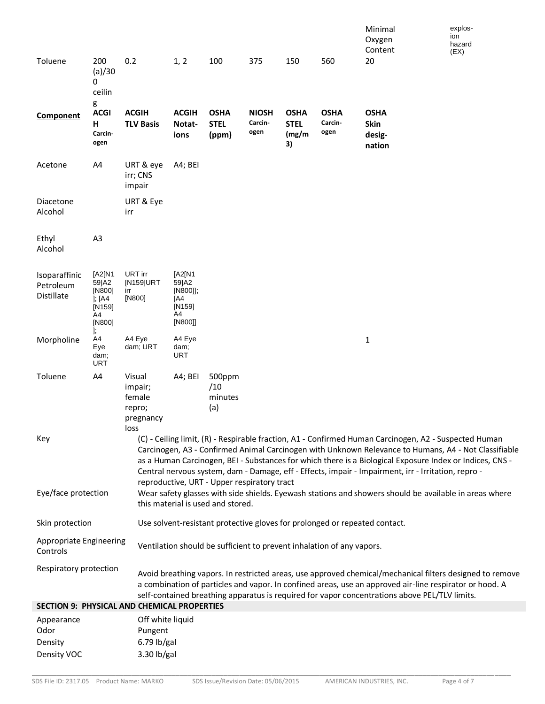|                                                    |                                                                    |                                                            |                                                               |                                             |                                 |                                            |                                                                       | Minimal<br>Oxygen<br>Content                                                                                                                                                                                                                                                                                                                                                                                                     | explos-<br>ion<br>hazard |
|----------------------------------------------------|--------------------------------------------------------------------|------------------------------------------------------------|---------------------------------------------------------------|---------------------------------------------|---------------------------------|--------------------------------------------|-----------------------------------------------------------------------|----------------------------------------------------------------------------------------------------------------------------------------------------------------------------------------------------------------------------------------------------------------------------------------------------------------------------------------------------------------------------------------------------------------------------------|--------------------------|
| Toluene                                            | 200<br>(a)/30<br>0<br>ceilin                                       | 0.2                                                        | 1, 2                                                          | 100                                         | 375                             | 150                                        | 560                                                                   | 20                                                                                                                                                                                                                                                                                                                                                                                                                               | (EX)                     |
| Component                                          | g<br><b>ACGI</b><br>н<br>Carcin-<br>ogen                           | <b>ACGIH</b><br><b>TLV Basis</b>                           | <b>ACGIH</b><br>Notat-<br>ions                                | <b>OSHA</b><br><b>STEL</b><br>(ppm)         | <b>NIOSH</b><br>Carcin-<br>ogen | <b>OSHA</b><br><b>STEL</b><br>(mg/m)<br>3) | <b>OSHA</b><br>Carcin-<br>ogen                                        | <b>OSHA</b><br>Skin<br>desig-<br>nation                                                                                                                                                                                                                                                                                                                                                                                          |                          |
| Acetone                                            | A4                                                                 | URT & eye<br>irr; CNS<br>impair                            | A4; BEI                                                       |                                             |                                 |                                            |                                                                       |                                                                                                                                                                                                                                                                                                                                                                                                                                  |                          |
| Diacetone<br>Alcohol                               |                                                                    | URT & Eye<br>irr                                           |                                                               |                                             |                                 |                                            |                                                                       |                                                                                                                                                                                                                                                                                                                                                                                                                                  |                          |
| Ethyl<br>Alcohol                                   | A <sub>3</sub>                                                     |                                                            |                                                               |                                             |                                 |                                            |                                                                       |                                                                                                                                                                                                                                                                                                                                                                                                                                  |                          |
| Isoparaffinic<br>Petroleum<br>Distillate           | [A2[N1<br>59]A2<br>[N800]<br>$]$ ; [A4<br>$[N159]$<br>A4<br>[N800] | URT irr<br>[N159]URT<br>irr<br>[N800]                      | [A2[N1<br>59]A2<br>[N800]];<br>[A4<br>[N159]<br>A4<br>[N800]] |                                             |                                 |                                            |                                                                       |                                                                                                                                                                                                                                                                                                                                                                                                                                  |                          |
| Morpholine                                         | J;<br>A4<br>Eye<br>dam;<br><b>URT</b>                              | A4 Eye<br>dam; URT                                         | A4 Eye<br>dam;<br><b>URT</b>                                  |                                             |                                 |                                            |                                                                       | 1                                                                                                                                                                                                                                                                                                                                                                                                                                |                          |
| Toluene                                            | A4                                                                 | Visual<br>impair;<br>female<br>repro;<br>pregnancy<br>loss | A4; BEI                                                       | 500ppm<br>/10<br>minutes<br>(a)             |                                 |                                            |                                                                       |                                                                                                                                                                                                                                                                                                                                                                                                                                  |                          |
| Key                                                |                                                                    |                                                            |                                                               | reproductive, URT - Upper respiratory tract |                                 |                                            |                                                                       | (C) - Ceiling limit, (R) - Respirable fraction, A1 - Confirmed Human Carcinogen, A2 - Suspected Human<br>Carcinogen, A3 - Confirmed Animal Carcinogen with Unknown Relevance to Humans, A4 - Not Classifiable<br>as a Human Carcinogen, BEI - Substances for which there is a Biological Exposure Index or Indices, CNS -<br>Central nervous system, dam - Damage, eff - Effects, impair - Impairment, irr - Irritation, repro - |                          |
| Eye/face protection                                |                                                                    |                                                            |                                                               | this material is used and stored.           |                                 |                                            |                                                                       | Wear safety glasses with side shields. Eyewash stations and showers should be available in areas where                                                                                                                                                                                                                                                                                                                           |                          |
| Skin protection                                    |                                                                    |                                                            |                                                               |                                             |                                 |                                            |                                                                       | Use solvent-resistant protective gloves for prolonged or repeated contact.                                                                                                                                                                                                                                                                                                                                                       |                          |
| Appropriate Engineering<br>Controls                |                                                                    |                                                            |                                                               |                                             |                                 |                                            | Ventilation should be sufficient to prevent inhalation of any vapors. |                                                                                                                                                                                                                                                                                                                                                                                                                                  |                          |
| Respiratory protection                             |                                                                    |                                                            |                                                               |                                             |                                 |                                            |                                                                       | Avoid breathing vapors. In restricted areas, use approved chemical/mechanical filters designed to remove<br>a combination of particles and vapor. In confined areas, use an approved air-line respirator or hood. A<br>self-contained breathing apparatus is required for vapor concentrations above PEL/TLV limits.                                                                                                             |                          |
| <b>SECTION 9: PHYSICAL AND CHEMICAL PROPERTIES</b> |                                                                    |                                                            |                                                               |                                             |                                 |                                            |                                                                       |                                                                                                                                                                                                                                                                                                                                                                                                                                  |                          |
| Appearance<br>Odor                                 |                                                                    | Off white liquid<br>Pungent                                |                                                               |                                             |                                 |                                            |                                                                       |                                                                                                                                                                                                                                                                                                                                                                                                                                  |                          |
| Density                                            |                                                                    | $6.79$ lb/gal                                              |                                                               |                                             |                                 |                                            |                                                                       |                                                                                                                                                                                                                                                                                                                                                                                                                                  |                          |
| Density VOC                                        |                                                                    | 3.30 lb/gal                                                |                                                               |                                             |                                 |                                            |                                                                       |                                                                                                                                                                                                                                                                                                                                                                                                                                  |                          |

\_\_\_\_\_\_\_\_\_\_\_\_\_\_\_\_\_\_\_\_\_\_\_\_\_\_\_\_\_\_\_\_\_\_\_\_\_\_\_\_\_\_\_\_\_\_\_\_\_\_\_\_\_\_\_\_\_\_\_\_\_\_\_\_\_\_\_\_\_\_\_\_\_\_\_\_\_\_\_\_\_\_\_\_\_\_\_\_\_\_\_\_\_\_\_\_\_\_\_\_\_\_\_\_\_\_\_\_\_\_\_\_\_\_\_\_\_\_\_\_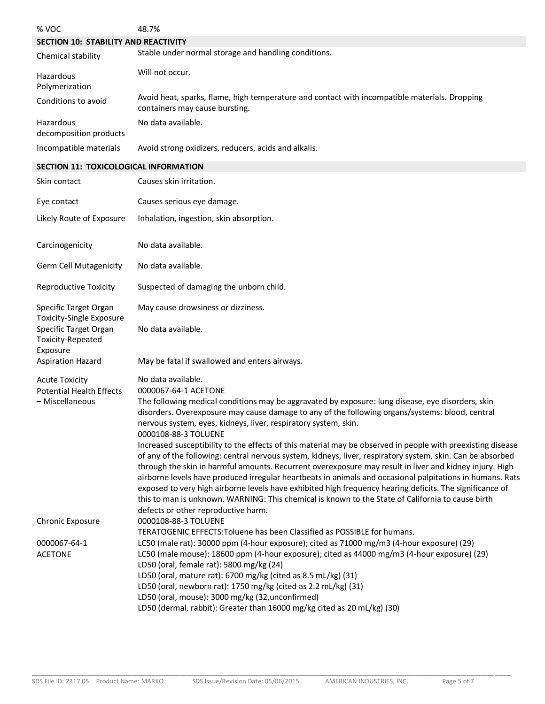| % VOC                                                    | 48.7%                                                                                                                                                                                                                                                                                                                                                                                                                                             |
|----------------------------------------------------------|---------------------------------------------------------------------------------------------------------------------------------------------------------------------------------------------------------------------------------------------------------------------------------------------------------------------------------------------------------------------------------------------------------------------------------------------------|
| SECTION 10: STABILITY AND REACTIVITY                     |                                                                                                                                                                                                                                                                                                                                                                                                                                                   |
| Chemical stability                                       | Stable under normal storage and handling conditions.                                                                                                                                                                                                                                                                                                                                                                                              |
| Hazardous<br>Polymerization                              | Will not occur.                                                                                                                                                                                                                                                                                                                                                                                                                                   |
| Conditions to avoid                                      | Avoid heat, sparks, flame, high temperature and contact with incompatible materials. Dropping<br>containers may cause bursting.                                                                                                                                                                                                                                                                                                                   |
| Hazardous<br>decomposition products                      | No data available.                                                                                                                                                                                                                                                                                                                                                                                                                                |
| Incompatible materials                                   | Avoid strong oxidizers, reducers, acids and alkalis.                                                                                                                                                                                                                                                                                                                                                                                              |
| SECTION 11: TOXICOLOGICAL INFORMATION                    |                                                                                                                                                                                                                                                                                                                                                                                                                                                   |
| Skin contact                                             | Causes skin irritation.                                                                                                                                                                                                                                                                                                                                                                                                                           |
| Eye contact                                              | Causes serious eye damage.                                                                                                                                                                                                                                                                                                                                                                                                                        |
| Likely Route of Exposure                                 | Inhalation, ingestion, skin absorption.                                                                                                                                                                                                                                                                                                                                                                                                           |
| Carcinogenicity                                          | No data available.                                                                                                                                                                                                                                                                                                                                                                                                                                |
| <b>Germ Cell Mutagenicity</b>                            | No data available.                                                                                                                                                                                                                                                                                                                                                                                                                                |
| <b>Reproductive Toxicity</b>                             | Suspected of damaging the unborn child.                                                                                                                                                                                                                                                                                                                                                                                                           |
| Specific Target Organ<br><b>Toxicity-Single Exposure</b> | May cause drowsiness or dizziness.                                                                                                                                                                                                                                                                                                                                                                                                                |
| Specific Target Organ<br>Toxicity-Repeated<br>Exposure   | No data available.                                                                                                                                                                                                                                                                                                                                                                                                                                |
| <b>Aspiration Hazard</b>                                 | May be fatal if swallowed and enters airways.                                                                                                                                                                                                                                                                                                                                                                                                     |
| <b>Acute Toxicity</b>                                    | No data available.                                                                                                                                                                                                                                                                                                                                                                                                                                |
| <b>Potential Health Effects</b>                          | 0000067-64-1 ACETONE                                                                                                                                                                                                                                                                                                                                                                                                                              |
| - Miscellaneous                                          | The following medical conditions may be aggravated by exposure: lung disease, eye disorders, skin<br>disorders. Overexposure may cause damage to any of the following organs/systems: blood, central<br>nervous system, eyes, kidneys, liver, respiratory system, skin.                                                                                                                                                                           |
|                                                          | 0000108-88-3 TOLUENE                                                                                                                                                                                                                                                                                                                                                                                                                              |
|                                                          | Increased susceptibility to the effects of this material may be observed in people with preexisting disease<br>of any of the following: central nervous system, kidneys, liver, respiratory system, skin. Can be absorbed<br>through the skin in harmful amounts. Recurrent overexposure may result in liver and kidney injury. High<br>airborne levels have produced irregular heartbeats in animals and occasional palpitations in humans. Rats |
|                                                          | exposed to very high airborne levels have exhibited high frequency hearing deficits. The significance of<br>this to man is unknown. WARNING: This chemical is known to the State of California to cause birth<br>defects or other reproductive harm.                                                                                                                                                                                              |
| Chronic Exposure                                         | 0000108-88-3 TOLUENE                                                                                                                                                                                                                                                                                                                                                                                                                              |
|                                                          | TERATOGENIC EFFECTS: Toluene has been Classified as POSSIBLE for humans.                                                                                                                                                                                                                                                                                                                                                                          |
| 0000067-64-1<br><b>ACETONE</b>                           | LC50 (male rat): 30000 ppm (4-hour exposure); cited as 71000 mg/m3 (4-hour exposure) (29)<br>LC50 (male mouse): 18600 ppm (4-hour exposure); cited as 44000 mg/m3 (4-hour exposure) (29)<br>LD50 (oral, female rat): 5800 mg/kg (24)                                                                                                                                                                                                              |
|                                                          | LD50 (oral, mature rat): 6700 mg/kg (cited as 8.5 mL/kg) (31)                                                                                                                                                                                                                                                                                                                                                                                     |
|                                                          | LD50 (oral, newborn rat): 1750 mg/kg (cited as 2.2 mL/kg) (31)<br>LD50 (oral, mouse): 3000 mg/kg (32, unconfirmed)                                                                                                                                                                                                                                                                                                                                |
|                                                          | LD50 (dermal, rabbit): Greater than 16000 mg/kg cited as 20 mL/kg) (30)                                                                                                                                                                                                                                                                                                                                                                           |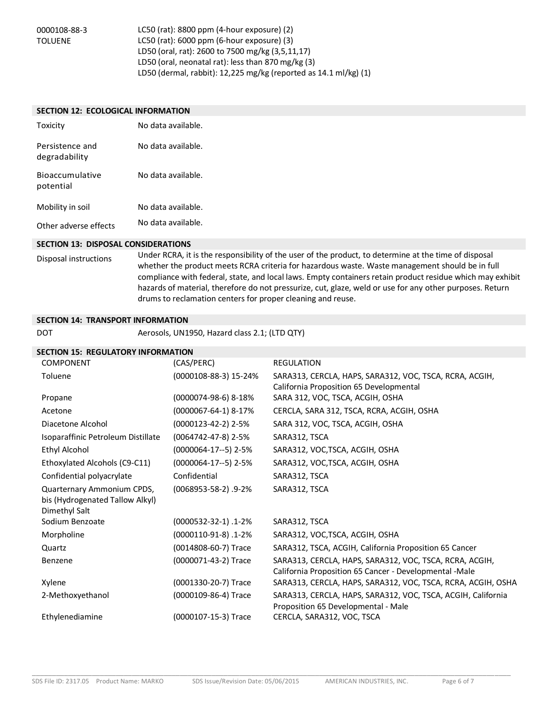0000108-88-3 TOLUENE

LC50 (rat): 8800 ppm (4-hour exposure) (2) LC50 (rat): 6000 ppm (6-hour exposure) (3) LD50 (oral, rat): 2600 to 7500 mg/kg (3,5,11,17) LD50 (oral, neonatal rat): less than 870 mg/kg (3) LD50 (dermal, rabbit): 12,225 mg/kg (reported as 14.1 ml/kg) (1)

#### **SECTION 12: ECOLOGICAL INFORMATION**

| Toxicity                            | No data available. |
|-------------------------------------|--------------------|
| Persistence and<br>degradability    | No data available. |
| <b>Bioaccumulative</b><br>potential | No data available. |
| Mobility in soil                    | No data available. |
| Other adverse effects               | No data available. |

#### **SECTION 13: DISPOSAL CONSIDERATIONS**

Disposal instructions Under RCRA, it is the responsibility of the user of the product, to determine at the time of disposal whether the product meets RCRA criteria for hazardous waste. Waste management should be in full compliance with federal, state, and local laws. Empty containers retain product residue which may exhibit hazards of material, therefore do not pressurize, cut, glaze, weld or use for any other purposes. Return drums to reclamation centers for proper cleaning and reuse.

#### **SECTION 14: TRANSPORT INFORMATION**

DOT Aerosols, UN1950, Hazard class 2.1; (LTD QTY)

# **SECTION 15: REGULATORY INFORMATION**

| <b>COMPONENT</b>                                                               | (CAS/PERC)                 | <b>REGULATION</b>                                                                                                 |
|--------------------------------------------------------------------------------|----------------------------|-------------------------------------------------------------------------------------------------------------------|
| Toluene                                                                        | (0000108-88-3) 15-24%      | SARA313, CERCLA, HAPS, SARA312, VOC, TSCA, RCRA, ACGIH,<br>California Proposition 65 Developmental                |
| Propane                                                                        | (0000074-98-6) 8-18%       | SARA 312, VOC, TSCA, ACGIH, OSHA                                                                                  |
| Acetone                                                                        | (0000067-64-1) 8-17%       | CERCLA, SARA 312, TSCA, RCRA, ACGIH, OSHA                                                                         |
| Diacetone Alcohol                                                              | $(0000123-42-2)$ 2-5%      | SARA 312, VOC, TSCA, ACGIH, OSHA                                                                                  |
| Isoparaffinic Petroleum Distillate                                             | $(0064742 - 47 - 8)$ 2-5%  | SARA312, TSCA                                                                                                     |
| <b>Ethyl Alcohol</b>                                                           | $(0000064-17-5)$ 2-5%      | SARA312, VOC, TSCA, ACGIH, OSHA                                                                                   |
| Ethoxylated Alcohols (C9-C11)                                                  | $(0000064 - 17 - 5)$ 2-5%  | SARA312, VOC, TSCA, ACGIH, OSHA                                                                                   |
| Confidential polyacrylate                                                      | Confidential               | SARA312, TSCA                                                                                                     |
| Quarternary Ammonium CPDS,<br>bis (Hydrogenated Tallow Alkyl)<br>Dimethyl Salt | $(0068953 - 58 - 2)$ .9-2% | SARA312, TSCA                                                                                                     |
| Sodium Benzoate                                                                | (0000532-32-1).1-2%        | SARA312, TSCA                                                                                                     |
| Morpholine                                                                     | $(0000110-91-8)$ . 1-2%    | SARA312, VOC, TSCA, ACGIH, OSHA                                                                                   |
| Quartz                                                                         | (0014808-60-7) Trace       | SARA312, TSCA, ACGIH, California Proposition 65 Cancer                                                            |
| Benzene                                                                        | (0000071-43-2) Trace       | SARA313, CERCLA, HAPS, SARA312, VOC, TSCA, RCRA, ACGIH,<br>California Proposition 65 Cancer - Developmental -Male |
| Xylene                                                                         | (0001330-20-7) Trace       | SARA313, CERCLA, HAPS, SARA312, VOC, TSCA, RCRA, ACGIH, OSHA                                                      |
| 2-Methoxyethanol                                                               | (0000109-86-4) Trace       | SARA313, CERCLA, HAPS, SARA312, VOC, TSCA, ACGIH, California<br>Proposition 65 Developmental - Male               |
| Ethylenediamine                                                                | (0000107-15-3) Trace       | CERCLA, SARA312, VOC, TSCA                                                                                        |